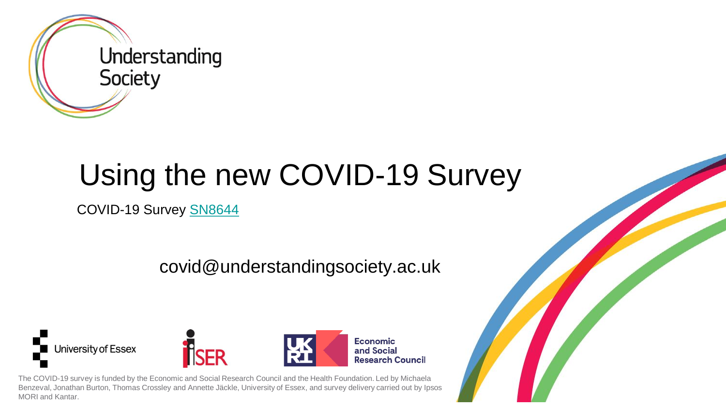

# Using the new COVID-19 Survey

COVID-19 Survey [SN8644](https://beta.ukdataservice.ac.uk/datacatalogue/studies/study?id=8644)

covid@understandingsociety.ac.uk







The COVID-19 survey is funded by the Economic and Social Research Council and the Health Foundation. Led by Michaela Benzeval, Jonathan Burton, Thomas Crossley and Annette Jäckle, University of Essex, and survey delivery carried out by Ipsos MORI and Kantar.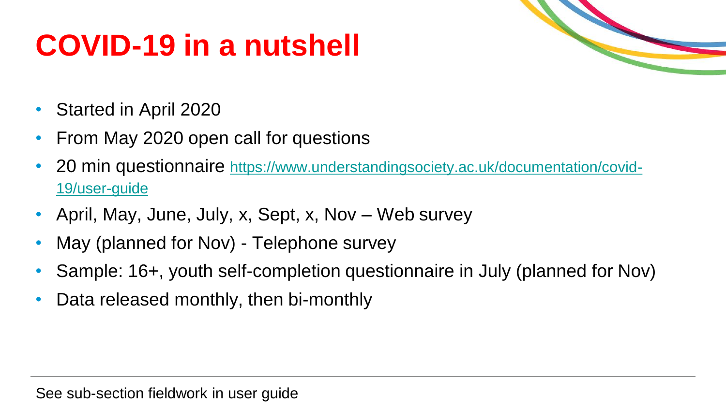# **COVID-19 in a nutshell**



- Started in April 2020
- From May 2020 open call for questions
- 20 min questionnaire [https://www.understandingsociety.ac.uk/documentation/covid-](https://www.understandingsociety.ac.uk/documentation/covid-19/user-guide)19/user-guide
- April, May, June, July, x, Sept, x, Nov Web survey
- May (planned for Nov) Telephone survey
- Sample: 16+, youth self-completion questionnaire in July (planned for Nov)
- Data released monthly, then bi-monthly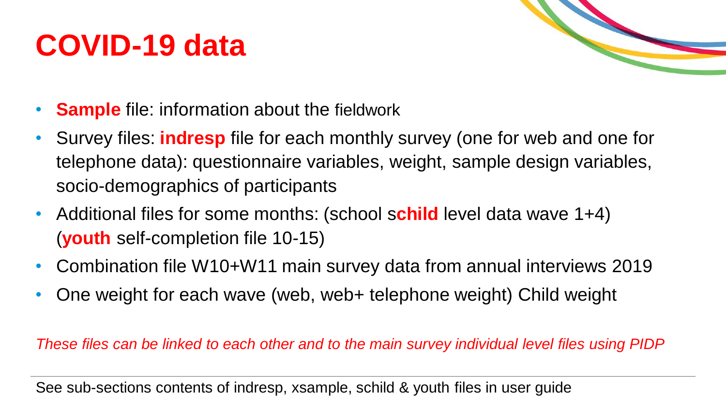### **COVID-19 data**



- **Sample** file: information about the fieldwork
- Survey files: **indresp** file for each monthly survey (one for web and one for telephone data): questionnaire variables, weight, sample design variables, socio-demographics of participants
- Additional files for some months: (school s**child** level data wave 1+4) (**youth** self-completion file 10-15)
- Combination file W10+W11 main survey data from annual interviews 2019
- One weight for each wave (web, web+ telephone weight) Child weight

*These files can be linked to each other and to the main survey individual level files using PIDP*

See sub-sections contents of indresp, xsample, schild & youth files in user guide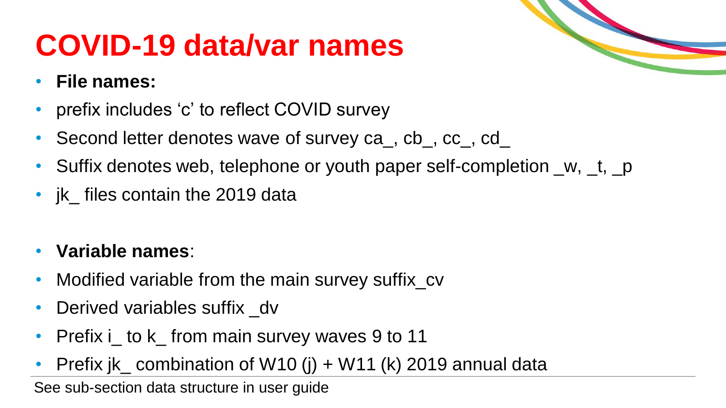## **COVID-19 data/var names**

#### • **File names:**

- prefix includes 'c' to reflect COVID survey
- Second letter denotes wave of survey ca\_, cb\_, cc\_, cd\_
- Suffix denotes web, telephone or youth paper self-completion \_w, \_t, \_p
- ik\_ files contain the 2019 data
- **Variable names**:
- Modified variable from the main survey suffix\_cv
- Derived variables suffix dv
- Prefix i\_to k\_from main survey waves 9 to 11
- Prefix jk\_ combination of W10 (j) + W11 (k) 2019 annual data

See sub-section data structure in user guide

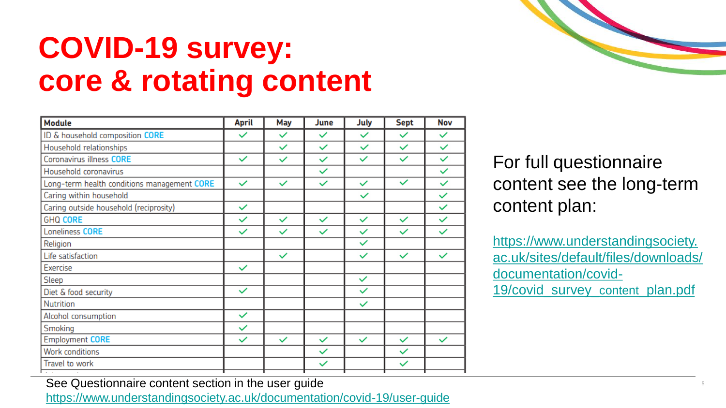### **COVID-19 survey: core & rotating content**

| <b>Module</b>                               | <b>April</b> | May          | June         | July         | <b>Sept</b>  | Nov          |
|---------------------------------------------|--------------|--------------|--------------|--------------|--------------|--------------|
| ID & household composition CORE             | $\checkmark$ | $\checkmark$ | $\checkmark$ | $\checkmark$ | $\checkmark$ | $\checkmark$ |
| Household relationships                     |              | $\checkmark$ | $\checkmark$ | $\checkmark$ | $\checkmark$ | $\checkmark$ |
| Coronavirus illness CORE                    | $\checkmark$ | $\checkmark$ | $\checkmark$ | $\checkmark$ | $\checkmark$ | $\checkmark$ |
| Household coronavirus                       |              |              | $\checkmark$ |              |              | $\checkmark$ |
| Long-term health conditions management CORE | $\checkmark$ | $\checkmark$ | $\checkmark$ | $\checkmark$ | $\checkmark$ | $\checkmark$ |
| Caring within household                     |              |              |              | $\checkmark$ |              | $\checkmark$ |
| Caring outside household (reciprosity)      | $\checkmark$ |              |              |              |              | $\checkmark$ |
| <b>GHQ CORE</b>                             | $\checkmark$ | $\checkmark$ | $\checkmark$ | $\checkmark$ | $\checkmark$ | $\checkmark$ |
| Loneliness CORE                             | $\checkmark$ | $\checkmark$ | $\checkmark$ | $\checkmark$ | $\checkmark$ | $\checkmark$ |
| Religion                                    |              |              |              | $\checkmark$ |              |              |
| Life satisfaction                           |              | $\checkmark$ |              | $\checkmark$ | $\checkmark$ | $\checkmark$ |
| Exercise                                    | $\checkmark$ |              |              |              |              |              |
| Sleep                                       |              |              |              | $\checkmark$ |              |              |
| Diet & food security                        | $\checkmark$ |              |              | $\checkmark$ |              |              |
| Nutrition                                   |              |              |              | $\checkmark$ |              |              |
| Alcohol consumption                         | $\checkmark$ |              |              |              |              |              |
| Smoking                                     | $\checkmark$ |              |              |              |              |              |
| <b>Employment CORE</b>                      | $\checkmark$ | $\checkmark$ | $\checkmark$ | $\checkmark$ | $\checkmark$ | $\checkmark$ |
| <b>Work conditions</b>                      |              |              | $\checkmark$ |              | $\checkmark$ |              |
| Travel to work                              |              |              | $\checkmark$ |              | $\checkmark$ |              |
|                                             |              |              |              |              |              |              |



For full questionnaire content see the long-term content plan:

https://www.understandingsociety. [ac.uk/sites/default/files/downloads/](https://www.understandingsociety.ac.uk/sites/default/files/downloads/documentation/covid-19/covid_survey_content_plan.pdf) documentation/covid-19/covid\_survey\_content\_plan.pdf

See Questionnaire content section in the user guide

<https://www.understandingsociety.ac.uk/documentation/covid-19/user-guide>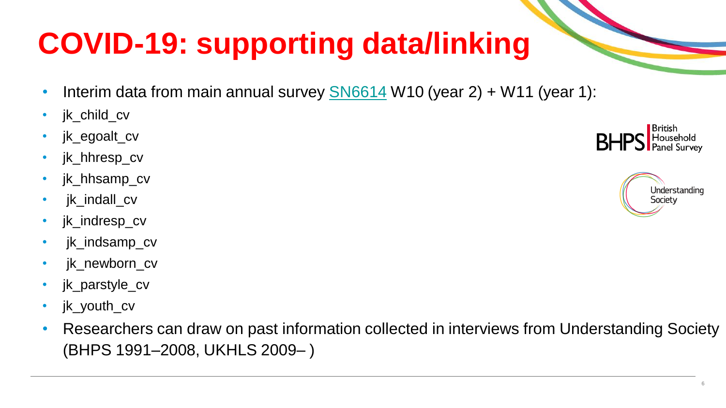# **COVID-19: supporting data/linking**

- Interim data from main annual survey  $\frac{\text{S}\text{N}6614}{\text{W}}$  W10 (year 2) + W11 (year 1):
- jk\_child\_cv
- jk\_egoalt\_cv
- jk\_hhresp\_cv
- jk hhsamp cv
- jk\_indall\_cv
- jk indresp cv
- jk\_indsamp\_cv
- jk newborn cv
- jk\_parstyle\_cv
- **ik\_youth\_cv**
- Researchers can draw on past information collected in interviews from Understanding Society (BHPS 1991–2008, UKHLS 2009– )



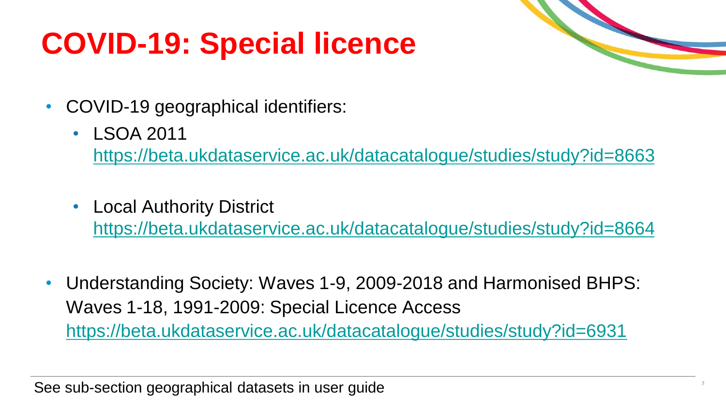## **COVID-19: Special licence**



- COVID-19 geographical identifiers:
	- LSOA 2011

<https://beta.ukdataservice.ac.uk/datacatalogue/studies/study?id=8663>

• Local Authority District

<https://beta.ukdataservice.ac.uk/datacatalogue/studies/study?id=8664>

• Understanding Society: Waves 1-9, 2009-2018 and Harmonised BHPS: Waves 1-18, 1991-2009: Special Licence Access <https://beta.ukdataservice.ac.uk/datacatalogue/studies/study?id=6931>